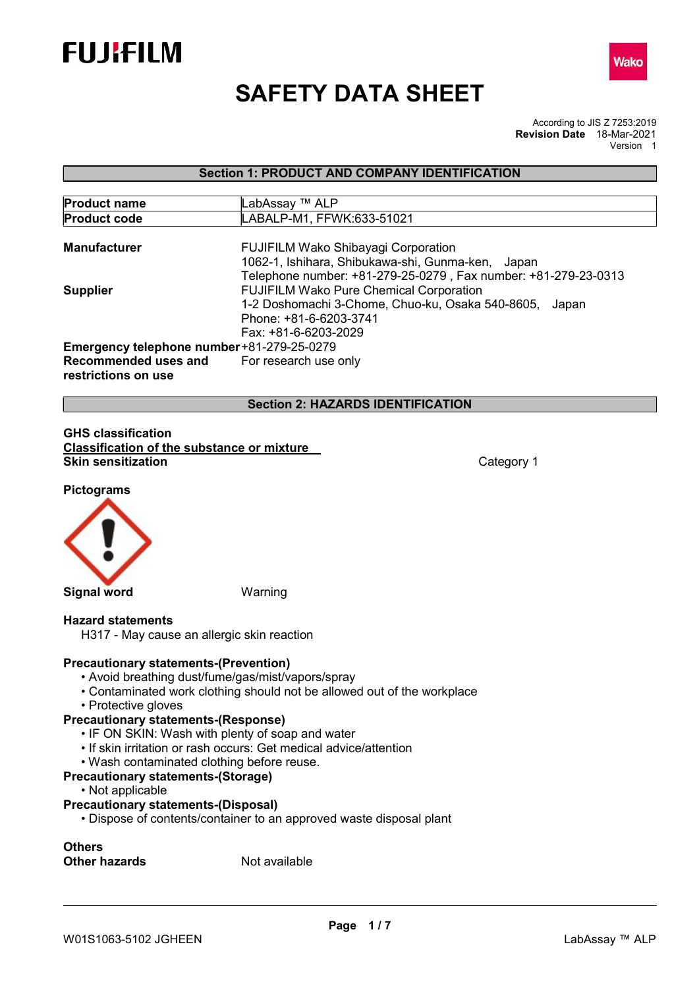



# SAFETY DATA SHEET

According to JIS Z 7253:2019 Revision Date 18-Mar-2021 Version 1

Section 1: PRODUCT AND COMPANY IDENTIFICATION

| <b>Product name</b>                       | LabAssay ™ ALP                                                 |  |  |
|-------------------------------------------|----------------------------------------------------------------|--|--|
| <b>Product code</b>                       | LABALP-M1, FFWK:633-51021                                      |  |  |
| <b>Manufacturer</b>                       | <b>FUJIFILM Wako Shibayagi Corporation</b>                     |  |  |
|                                           | 1062-1, Ishihara, Shibukawa-shi, Gunma-ken, Japan              |  |  |
|                                           | Telephone number: +81-279-25-0279, Fax number: +81-279-23-0313 |  |  |
| <b>Supplier</b>                           | <b>FUJIFILM Wako Pure Chemical Corporation</b>                 |  |  |
|                                           | 1-2 Doshomachi 3-Chome, Chuo-ku, Osaka 540-8605,<br>Japan      |  |  |
|                                           | Phone: +81-6-6203-3741                                         |  |  |
|                                           | Fax: +81-6-6203-2029                                           |  |  |
| Emergency telephone number+81-279-25-0279 |                                                                |  |  |
| Recommended uses and                      | For research use only                                          |  |  |
| restrictions on use                       |                                                                |  |  |

Section 2: HAZARDS IDENTIFICATION

#### GHS classification Classification of the substance or mixture Skin sensitization **Category 1 Category 1**

Pictograms



Signal word Warning

#### Hazard statements

H317 - May cause an allergic skin reaction

#### Precautionary statements-(Prevention)

- Avoid breathing dust/fume/gas/mist/vapors/spray
- Contaminated work clothing should not be allowed out of the workplace
- Protective gloves

#### Precautionary statements-(Response)

- IF ON SKIN: Wash with plenty of soap and water
- If skin irritation or rash occurs: Get medical advice/attention
- Wash contaminated clothing before reuse.

#### Precautionary statements-(Storage)

• Not applicable

#### Precautionary statements-(Disposal)

• Dispose of contents/container to an approved waste disposal plant

# **Others**

Other hazards Not available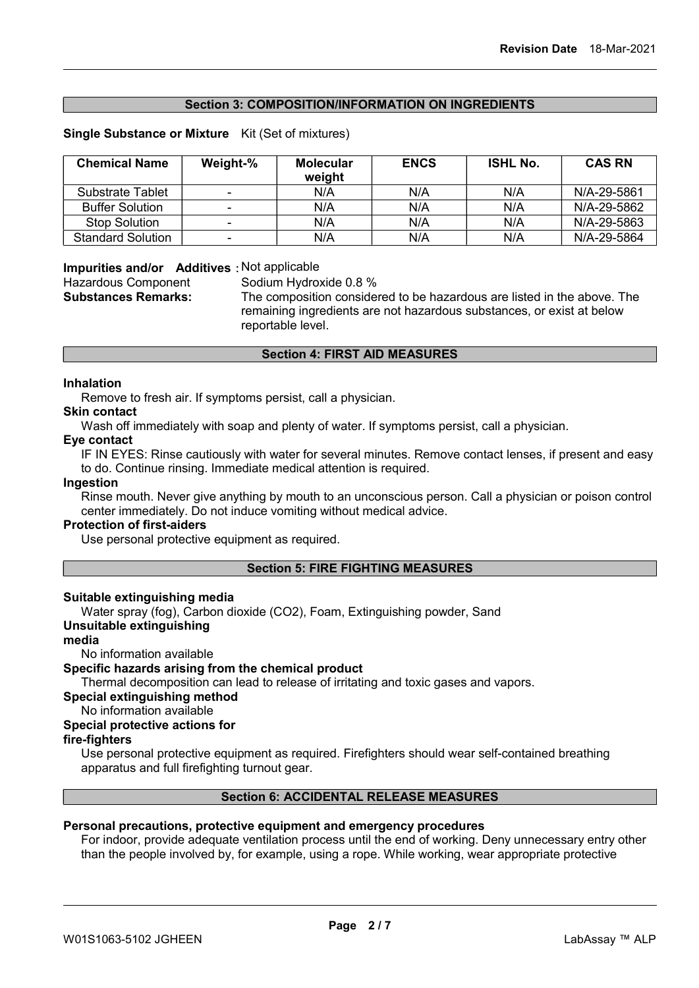#### Section 3: COMPOSITION/INFORMATION ON INGREDIENTS

#### Single Substance or Mixture Kit (Set of mixtures)

| <b>Chemical Name</b>     | Weight-% | <b>Molecular</b><br>weight | <b>ENCS</b> | <b>ISHL No.</b> | <b>CAS RN</b> |
|--------------------------|----------|----------------------------|-------------|-----------------|---------------|
| <b>Substrate Tablet</b>  | -        | N/A                        | N/A         | N/A             | N/A-29-5861   |
| <b>Buffer Solution</b>   |          | N/A                        | N/A         | N/A             | N/A-29-5862   |
| <b>Stop Solution</b>     |          | N/A                        | N/A         | N/A             | N/A-29-5863   |
| <b>Standard Solution</b> |          | N/A                        | N/A         | N/A             | N/A-29-5864   |

#### Impurities and/or Additives: Not applicable

Hazardous Component Sodium Hydroxide 0.8 %

Substances Remarks: The composition considered to be hazardous are listed in the above. The remaining ingredients are not hazardous substances, or exist at below reportable level.

#### Section 4: FIRST AID MEASURES

#### Inhalation

Remove to fresh air. If symptoms persist, call a physician.

#### Skin contact

Wash off immediately with soap and plenty of water. If symptoms persist, call a physician.

#### Eye contact

IF IN EYES: Rinse cautiously with water for several minutes. Remove contact lenses, if present and easy to do. Continue rinsing. Immediate medical attention is required.

#### Ingestion

Rinse mouth. Never give anything by mouth to an unconscious person. Call a physician or poison control center immediately. Do not induce vomiting without medical advice.

#### Protection of first-aiders

Use personal protective equipment as required.

#### Section 5: FIRE FIGHTING MEASURES

#### Suitable extinguishing media

Water spray (fog), Carbon dioxide (CO2), Foam, Extinguishing powder, Sand

#### Unsuitable extinguishing

#### media

No information available

#### Specific hazards arising from the chemical product

Thermal decomposition can lead to release of irritating and toxic gases and vapors.

Special extinguishing method

No information available

#### Special protective actions for

#### fire-fighters

Use personal protective equipment as required. Firefighters should wear self-contained breathing apparatus and full firefighting turnout gear.

#### Section 6: ACCIDENTAL RELEASE MEASURES

#### Personal precautions, protective equipment and emergency procedures

For indoor, provide adequate ventilation process until the end of working. Deny unnecessary entry other than the people involved by, for example, using a rope. While working, wear appropriate protective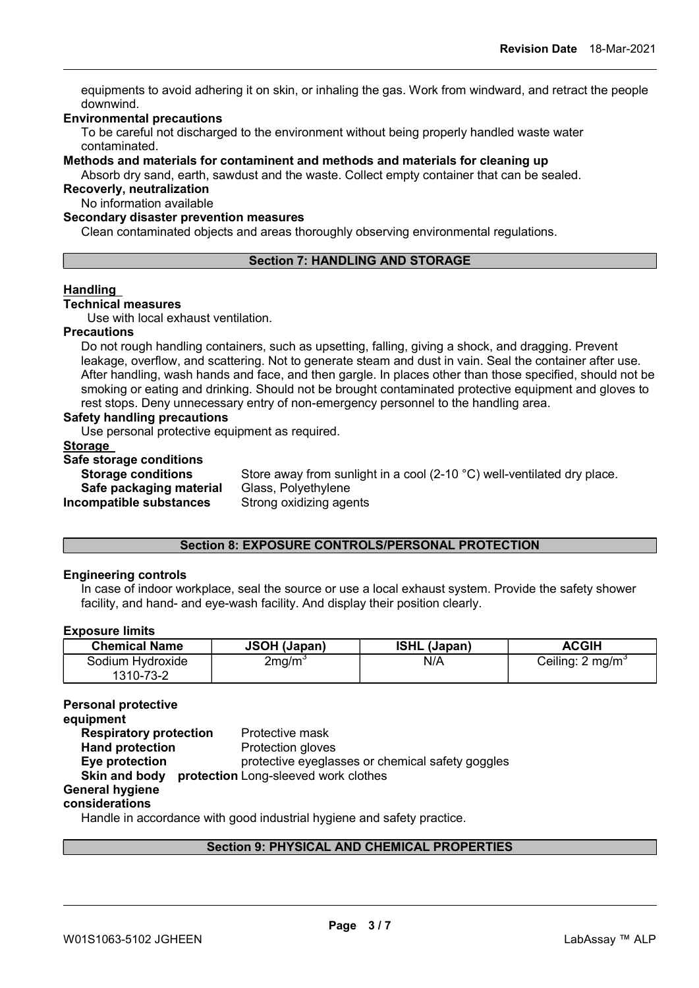equipments to avoid adhering it on skin, or inhaling the gas. Work from windward, and retract the people downwind.

#### Environmental precautions

To be careful not discharged to the environment without being properly handled waste water contaminated.

Methods and materials for contaminent and methods and materials for cleaning up

Absorb dry sand, earth, sawdust and the waste. Collect empty container that can be sealed. Recoverly, neutralization

No information available

#### Secondary disaster prevention measures

Clean contaminated objects and areas thoroughly observing environmental regulations.

#### Section 7: HANDLING AND STORAGE

#### Handling

#### Technical measures

Use with local exhaust ventilation.

#### **Precautions**

Do not rough handling containers, such as upsetting, falling, giving a shock, and dragging. Prevent leakage, overflow, and scattering. Not to generate steam and dust in vain. Seal the container after use. After handling, wash hands and face, and then gargle. In places other than those specified, should not be smoking or eating and drinking. Should not be brought contaminated protective equipment and gloves to rest stops. Deny unnecessary entry of non-emergency personnel to the handling area.

#### Safety handling precautions

Use personal protective equipment as required.

#### **Storage**

#### Safe storage conditions

| Store away from sunlight in a cool (2-10 °C) well-ventilated dry place. |
|-------------------------------------------------------------------------|
| Glass, Polyethylene                                                     |
| Strong oxidizing agents                                                 |
|                                                                         |

#### Section 8: EXPOSURE CONTROLS/PERSONAL PROTECTION

#### Engineering controls

In case of indoor workplace, seal the source or use a local exhaust system. Provide the safety shower facility, and hand- and eye-wash facility. And display their position clearly.

#### Exposure limits

| <b>Chemical Name</b>          | JSOH (Japan)       | <b>ISHL (Japan)</b> | <b>ACGIH</b>                |
|-------------------------------|--------------------|---------------------|-----------------------------|
| Sodium Hydroxide<br>1310-73-2 | 2mg/m <sup>3</sup> | N/A                 | Ceiling: $2 \text{ mg/m}^3$ |

#### Personal protective

equipment **Respiratory protection** Protective mask Hand protection **Protection gloves** Eye protection protective eyeglasses or chemical safety goggles Skin and body protection Long-sleeved work clothes General hygiene considerations

Handle in accordance with good industrial hygiene and safety practice.

#### Section 9: PHYSICAL AND CHEMICAL PROPERTIES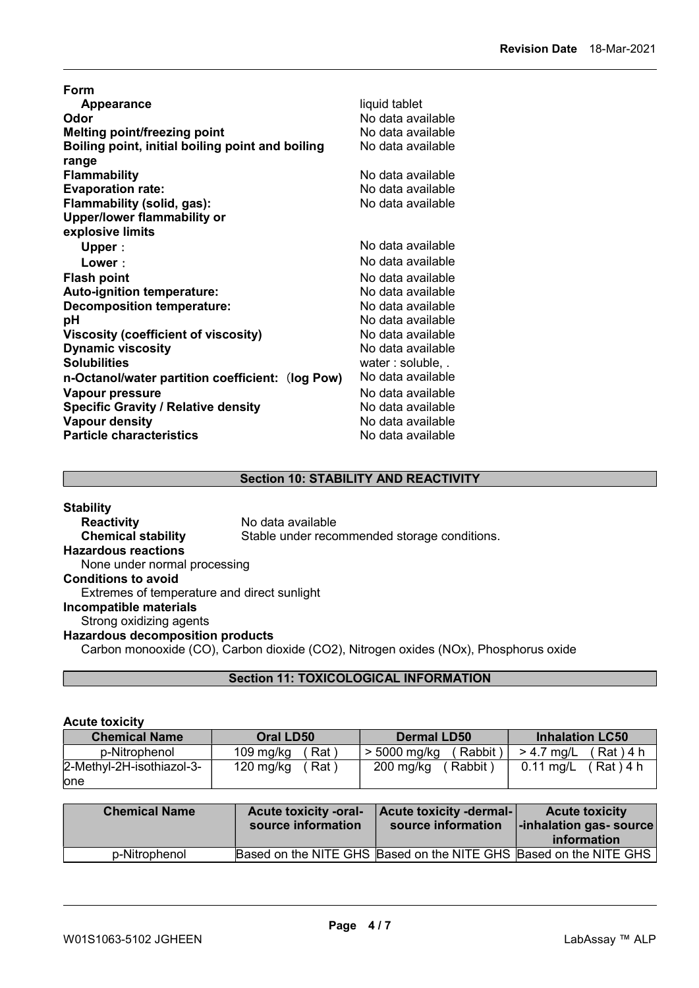| Form                                             |                   |
|--------------------------------------------------|-------------------|
| <b>Appearance</b>                                | liquid tablet     |
| Odor                                             | No data available |
| <b>Melting point/freezing point</b>              | No data available |
| Boiling point, initial boiling point and boiling | No data available |
| range                                            |                   |
| <b>Flammability</b>                              | No data available |
| <b>Evaporation rate:</b>                         | No data available |
| Flammability (solid, gas):                       | No data available |
| <b>Upper/lower flammability or</b>               |                   |
| explosive limits                                 |                   |
| Upper:                                           | No data available |
| Lower:                                           | No data available |
| <b>Flash point</b>                               | No data available |
| <b>Auto-ignition temperature:</b>                | No data available |
| <b>Decomposition temperature:</b>                | No data available |
| рH                                               | No data available |
| Viscosity (coefficient of viscosity)             | No data available |
| <b>Dynamic viscosity</b>                         | No data available |
| <b>Solubilities</b>                              | water: soluble, . |
| n-Octanol/water partition coefficient: (log Pow) | No data available |
| Vapour pressure                                  | No data available |
| <b>Specific Gravity / Relative density</b>       | No data available |
| <b>Vapour density</b>                            | No data available |
| <b>Particle characteristics</b>                  | No data available |

#### Section 10: STABILITY AND REACTIVITY

| <b>Stability</b>                            |                                                                                      |
|---------------------------------------------|--------------------------------------------------------------------------------------|
| <b>Reactivity</b>                           | No data available                                                                    |
| <b>Chemical stability</b>                   | Stable under recommended storage conditions.                                         |
| <b>Hazardous reactions</b>                  |                                                                                      |
| None under normal processing                |                                                                                      |
| <b>Conditions to avoid</b>                  |                                                                                      |
| Extremes of temperature and direct sunlight |                                                                                      |
| Incompatible materials                      |                                                                                      |
| Strong oxidizing agents                     |                                                                                      |
| <b>Hazardous decomposition products</b>     |                                                                                      |
|                                             | Carbon monooxide (CO), Carbon dioxide (CO2), Nitrogen oxides (NOx), Phosphorus oxide |

# Section 11: TOXICOLOGICAL INFORMATION

#### Acute toxicity

| <b>Chemical Name</b>      | <b>Oral LD50</b> | <b>Dermal LD50</b> | <b>Inhalation LC50</b> |
|---------------------------|------------------|--------------------|------------------------|
| p-Nitrophenol             | 109 mg/kg        | ( Rabbit ∶         | $(Rat)$ 4 h            |
|                           | Rat i            | > 5000 mg/kg       | $> 4.7$ mg/L           |
| 2-Methyl-2H-isothiazol-3- | $120$ mg/kg      | $200$ mg/kg        | $(Rat)$ 4 h            |
|                           | Rat)             | Rabbit )           | $0.11 \text{ ma/L}$    |
| lone                      |                  |                    |                        |

| <b>Chemical Name</b> | <b>Acute toxicity -oral-</b><br>source information                | Acute toxicity -dermal-<br>source information | <b>Acute toxicity</b><br> -inhalation gas- source <br>information |
|----------------------|-------------------------------------------------------------------|-----------------------------------------------|-------------------------------------------------------------------|
| p-Nitrophenol        | Based on the NITE GHS Based on the NITE GHS Based on the NITE GHS |                                               |                                                                   |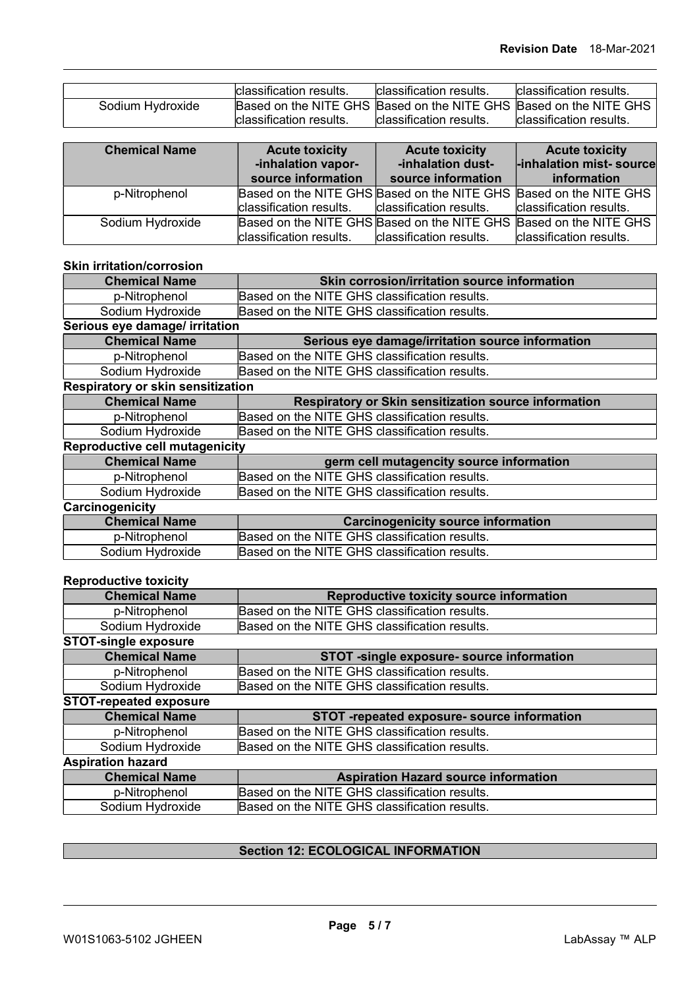|                  | <b>classification results.</b>                                    | Iclassification results. | Iclassification results. |
|------------------|-------------------------------------------------------------------|--------------------------|--------------------------|
| Sodium Hydroxide | Based on the NITE GHS Based on the NITE GHS Based on the NITE GHS |                          |                          |
|                  | Iclassification results.                                          | classification results.  | lclassification results. |

| <b>Chemical Name</b> | <b>Acute toxicity</b><br>-inhalation vapor-<br>source information | <b>Acute toxicity</b><br>-inhalation dust-<br>source information  | <b>Acute toxicity</b><br>-inhalation mist- source<br>information |
|----------------------|-------------------------------------------------------------------|-------------------------------------------------------------------|------------------------------------------------------------------|
| p-Nitrophenol        |                                                                   | Based on the NITE GHS Based on the NITE GHS Based on the NITE GHS |                                                                  |
|                      | classification results.                                           | classification results.                                           | classification results.                                          |
| Sodium Hydroxide     |                                                                   | Based on the NITE GHS Based on the NITE GHS Based on the NITE GHS |                                                                  |
|                      | classification results.                                           | classification results.                                           | classification results.                                          |

#### Skin irritation/corrosion

| <b>Chemical Name</b>                     | Skin corrosion/irritation source information                |
|------------------------------------------|-------------------------------------------------------------|
| p-Nitrophenol                            | Based on the NITE GHS classification results.               |
| Sodium Hydroxide                         | Based on the NITE GHS classification results.               |
| Serious eye damage/ irritation           |                                                             |
| <b>Chemical Name</b>                     | Serious eye damage/irritation source information            |
| p-Nitrophenol                            | Based on the NITE GHS classification results.               |
| Sodium Hydroxide                         | Based on the NITE GHS classification results.               |
| <b>Respiratory or skin sensitization</b> |                                                             |
| <b>Chemical Name</b>                     | <b>Respiratory or Skin sensitization source information</b> |
| p-Nitrophenol                            | Based on the NITE GHS classification results.               |
| Sodium Hydroxide                         | Based on the NITE GHS classification results.               |
| <b>Reproductive cell mutagenicity</b>    |                                                             |
| <b>Chemical Name</b>                     | germ cell mutagencity source information                    |
| p-Nitrophenol                            | Based on the NITE GHS classification results.               |
| Sodium Hydroxide                         | Based on the NITE GHS classification results.               |
| Carcinogenicity                          |                                                             |
| <b>Chemical Name</b>                     | <b>Carcinogenicity source information</b>                   |
| p-Nitrophenol                            | Based on the NITE GHS classification results.               |
| Sodium Hydroxide                         | Based on the NITE GHS classification results.               |

#### Reproductive toxicity

| <b>Chemical Name</b>          | Reproductive toxicity source information      |
|-------------------------------|-----------------------------------------------|
| p-Nitrophenol                 | Based on the NITE GHS classification results. |
| Sodium Hydroxide              | Based on the NITE GHS classification results. |
| <b>STOT-single exposure</b>   |                                               |
| <b>Chemical Name</b>          | STOT -single exposure- source information     |
| p-Nitrophenol                 | Based on the NITE GHS classification results. |
| Sodium Hydroxide              | Based on the NITE GHS classification results. |
| <b>STOT-repeated exposure</b> |                                               |
| <b>Chemical Name</b>          | STOT -repeated exposure- source information   |
| p-Nitrophenol                 | Based on the NITE GHS classification results. |
| Sodium Hydroxide              | Based on the NITE GHS classification results. |
| <b>Aspiration hazard</b>      |                                               |
| <b>Chemical Name</b>          | <b>Aspiration Hazard source information</b>   |
| p-Nitrophenol                 | Based on the NITE GHS classification results. |
| Sodium Hydroxide              | Based on the NITE GHS classification results. |

## **Section 12: ECOLOGICAL INFORMATION**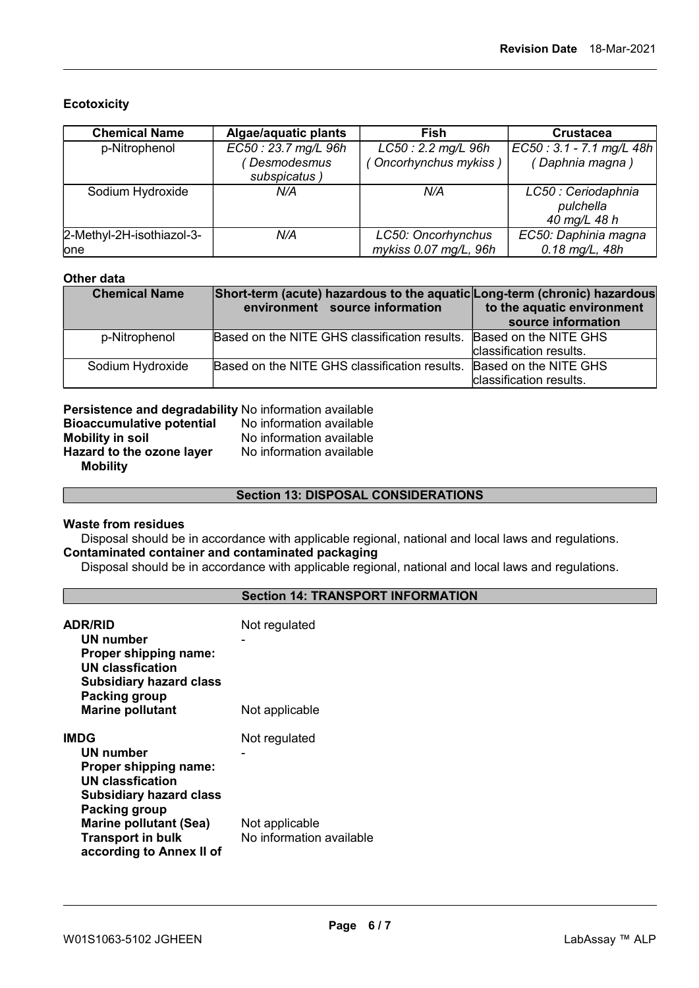#### **Ecotoxicity**

| <b>Chemical Name</b>      | Algae/aquatic plants        | Fish                  | <b>Crustacea</b>                                 |
|---------------------------|-----------------------------|-----------------------|--------------------------------------------------|
| p-Nitrophenol             | EC50: 23.7 mg/L 96h         | LC50: 2.2 mg/L 96h    | EC50: 3.1 - 7.1 mg/L 48h                         |
|                           | Desmodesmus<br>subspicatus) | (Oncorhynchus mykiss) | (Daphnia magna)                                  |
| Sodium Hydroxide          | N/A                         | N/A                   | LC50 : Ceriodaphnia<br>pulchella<br>40 mg/L 48 h |
| 2-Methyl-2H-isothiazol-3- | N/A                         | LC50: Oncorhynchus    | EC50: Daphinia magna                             |
| one                       |                             | mykiss 0.07 mg/L, 96h | 0.18 mg/L, 48h                                   |

#### Other data

| <b>Chemical Name</b> | Short-term (acute) hazardous to the aquatic Long-term (chronic) hazardous<br>environment source information | to the aquatic environment<br>source information |
|----------------------|-------------------------------------------------------------------------------------------------------------|--------------------------------------------------|
| p-Nitrophenol        | Based on the NITE GHS classification results. Based on the NITE GHS                                         |                                                  |
|                      |                                                                                                             | classification results.                          |
| Sodium Hydroxide     | Based on the NITE GHS classification results. Based on the NITE GHS                                         |                                                  |
|                      |                                                                                                             | classification results.                          |

| Persistence and degradability No information available |                          |
|--------------------------------------------------------|--------------------------|
| <b>Bioaccumulative potential</b>                       | No information available |
| <b>Mobility in soil</b>                                | No information available |
| Hazard to the ozone layer                              | No information available |
| <b>Mobility</b>                                        |                          |

Section 13: DISPOSAL CONSIDERATIONS

#### Waste from residues

Disposal should be in accordance with applicable regional, national and local laws and regulations. Contaminated container and contaminated packaging

Disposal should be in accordance with applicable regional, national and local laws and regulations.

#### Section 14: TRANSPORT INFORMATION

| <b>ADR/RID</b><br>UN number<br><b>Proper shipping name:</b><br><b>UN classfication</b><br><b>Subsidiary hazard class</b><br>Packing group<br><b>Marine pollutant</b>                                                            | Not regulated<br>Not applicable                             |
|---------------------------------------------------------------------------------------------------------------------------------------------------------------------------------------------------------------------------------|-------------------------------------------------------------|
| <b>IMDG</b><br>UN number<br><b>Proper shipping name:</b><br><b>UN classfication</b><br><b>Subsidiary hazard class</b><br>Packing group<br><b>Marine pollutant (Sea)</b><br><b>Transport in bulk</b><br>according to Annex II of | Not regulated<br>Not applicable<br>No information available |